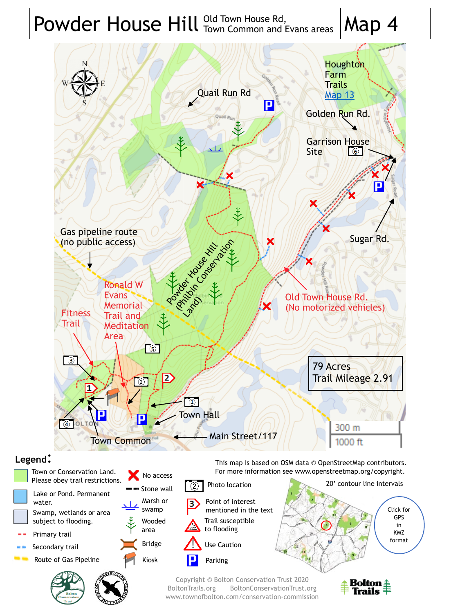# Powder House Hill  $^{\text{Old Town House Rd}}_{\text{ Town Common and Evans areas}}$  Map 4 Town Common and Evans areas



# **Legend**:

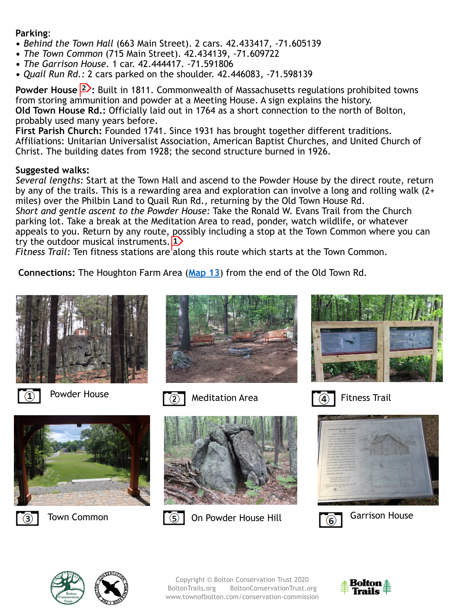### **Parking**:

- **•** *Behind the Town Hall* (663 Main Street). 2 cars. 42.433417, -71.605139
- **•** *The Town Common* (715 Main Street). 42.434139, -71.609722
- **•** *The Garrison House.* 1 car. 42.444417. -71.591806
- **•** *Quail Run Rd.:* 2 cars parked on the shoulder. 42.446083, -71.598139

**Powder House <sup>2</sup>:** Built in 1811. Commonwealth of Massachusetts regulations prohibited towns from storing ammunition and powder at a Meeting House. A sign explains the history. **Old Town House Rd.:** Officially laid out in 1764 as a short connection to the north of Bolton, probably used many years before.

**First Parish Church:** Founded 1741. Since 1931 has brought together different traditions. Affiliations: Unitarian Universalist Association, American Baptist Churches, and United Church of Christ. The building dates from 1928; the second structure burned in 1926.

## **Suggested walks:**

*Several lengths:* Start at the Town Hall and ascend to the Powder House by the direct route, return by any of the trails. This is a rewarding area and exploration can involve a long and rolling walk (2+ miles) over the Philbin Land to Quail Run Rd., returning by the Old Town House Rd.

*Short and gentle ascent to the Powder House:* Take the Ronald W. Evans Trail from the Church parking lot. Take a break at the Meditation Area to read, ponder, watch wildlife, or whatever appeals to you. Return by any route, possibly including a stop at the Town Common where you can try the outdoor musical instruments.  $1$ 

*Fitness Trail:* Ten fitness stations are along this route which starts at the Town Common.

**Connections:** The Houghton Farm Area (**[Map 13](https://boltontrails.org/map13)**) from the end of the Old Town Rd.





Powder House  $\widehat{Q}$  Meditation Area









Town Common **Table Common Common Common Common Common Common Common Common Common Common Common Common Common Common Common Common Common Common Common Common Common Common Common Common Common Common Common Common Common** 



Fitness Trail









Copyright © Bolton Conservation Trust 2020 BoltonTrails.org BoltonConservationTrust.org www.townofbolton.com/conservation-commission